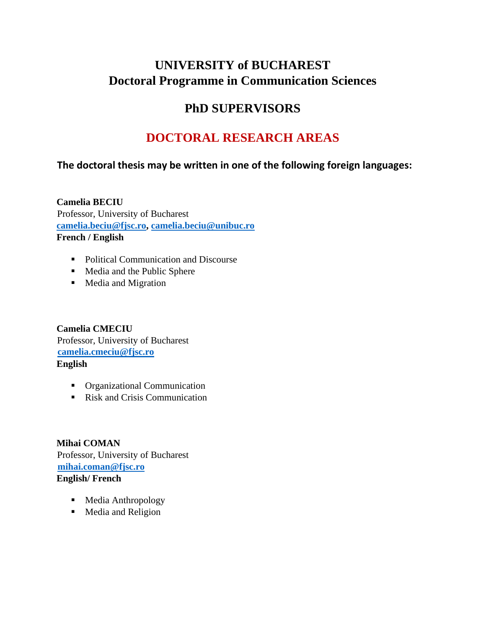### **UNIVERSITY of BUCHAREST Doctoral Programme in Communication Sciences**

# **PhD SUPERVISORS**

# **DOCTORAL RESEARCH AREAS**

### **The doctoral thesis may be written in one of the following foreign languages:**

**Camelia BECIU**  Professor, University of Bucharest **camelia.beciu@fjsc.ro, camelia.beciu@unibuc.ro French / English** 

- Political Communication and Discourse
- Media and the Public Sphere
- Media and Migration

**Camelia CMECIU** Professor, University of Bucharest **camelia.cmeciu@fjsc.ro English**

- **•** Organizational Communication
- Risk and Crisis Communication

**Mihai COMAN**  Professor, University of Bucharest **mihai.coman@fjsc.ro English/ French** 

- Media Anthropology
- Media and Religion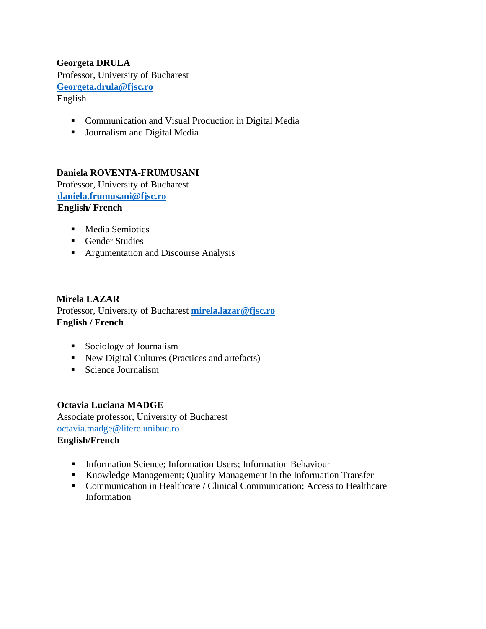**Georgeta DRULA**  Professor, University of Bucharest **Georgeta.drula@fjsc.ro** English

- Communication and Visual Production in Digital Media
- **■** Journalism and Digital Media

#### **Daniela ROVENTA-FRUMUSANI**

Professor, University of Bucharest **daniela.frumusani@fjsc.ro English/ French**

- Media Semiotics
- Gender Studies
- **EXECUTE:** Argumentation and Discourse Analysis

#### **Mirela LAZAR**

Professor, University of Bucharest **mirela.lazar@fjsc.ro English / French** 

- Sociology of Journalism
- New Digital Cultures (Practices and artefacts)
- Science Journalism

#### **Octavia Luciana MADGE**

Associate professor, University of Bucharest [octavia.madge@litere.unibuc.ro](mailto:octavia.madge@litere.unibuc.ro)

### **English/French**

- Information Science; Information Users; Information Behaviour
- Knowledge Management; Quality Management in the Information Transfer
- Communication in Healthcare / Clinical Communication: Access to Healthcare Information